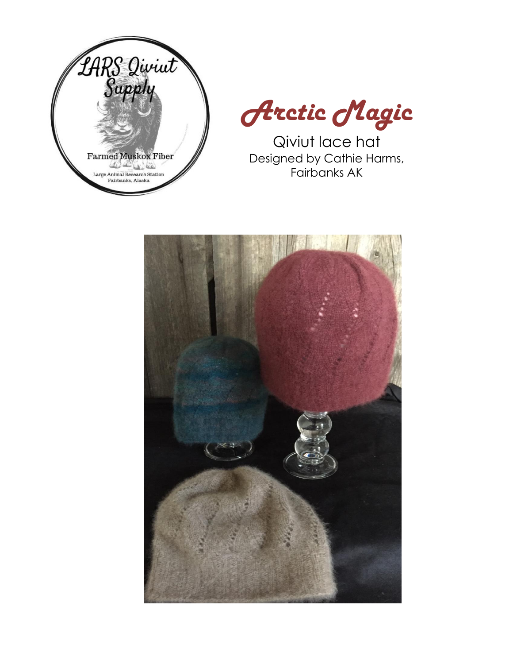



Qiviut lace hat Designed by Cathie Harms, Fairbanks AK

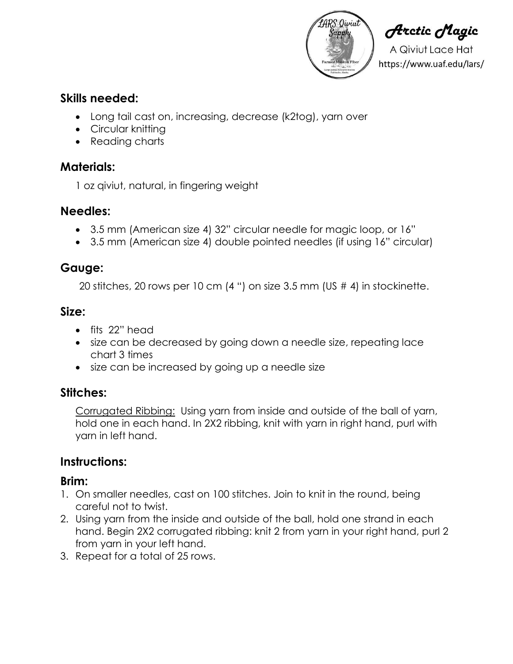

**Arctic Magic** 

A Qiviut Lace Hat https://www.uaf.edu/lars/

### **Skills needed:**

- Long tail cast on, increasing, decrease (k2tog), yarn over
- Circular knitting
- Reading charts

### **Materials:**

1 oz qiviut, natural, in fingering weight

#### **Needles:**

- 3.5 mm (American size 4) 32" circular needle for magic loop, or 16"
- 3.5 mm (American size 4) double pointed needles (if using 16" circular)

### **Gauge:**

20 stitches, 20 rows per 10 cm (4 ") on size 3.5 mm (US # 4) in stockinette.

#### **Size:**

- fits 22" head
- size can be decreased by going down a needle size, repeating lace chart 3 times
- size can be increased by going up a needle size

## **Stitches:**

Corrugated Ribbing: Using yarn from inside and outside of the ball of yarn, hold one in each hand. In 2X2 ribbing, knit with yarn in right hand, purl with yarn in left hand.

## **Instructions:**

#### **Brim:**

- 1. On smaller needles, cast on 100 stitches. Join to knit in the round, being careful not to twist.
- 2. Using yarn from the inside and outside of the ball, hold one strand in each hand. Begin 2X2 corrugated ribbing: knit 2 from yarn in your right hand, purl 2 from yarn in your left hand.
- 3. Repeat for a total of 25 rows.